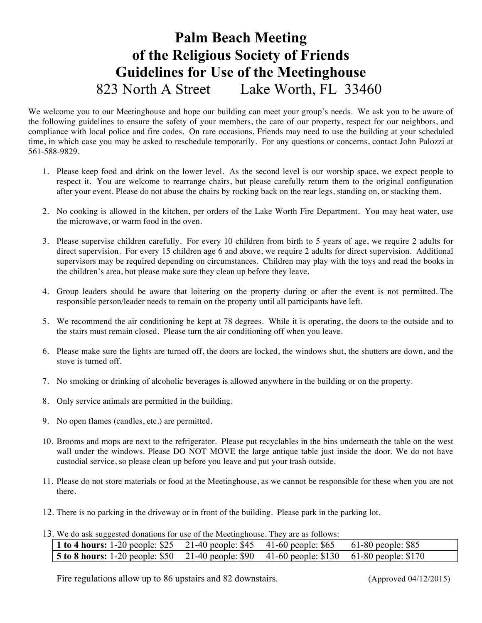## **Palm Beach Meeting of the Religious Society of Friends Guidelines for Use of the Meetinghouse** 823 North A Street Lake Worth, FL 33460

We welcome you to our Meetinghouse and hope our building can meet your group's needs. We ask you to be aware of the following guidelines to ensure the safety of your members, the care of our property, respect for our neighbors, and compliance with local police and fire codes. On rare occasions, Friends may need to use the building at your scheduled time, in which case you may be asked to reschedule temporarily. For any questions or concerns, contact John Palozzi at 561-588-9829.

- 1. Please keep food and drink on the lower level. As the second level is our worship space, we expect people to respect it. You are welcome to rearrange chairs, but please carefully return them to the original configuration after your event. Please do not abuse the chairs by rocking back on the rear legs, standing on, or stacking them.
- 2. No cooking is allowed in the kitchen, per orders of the Lake Worth Fire Department. You may heat water, use the microwave, or warm food in the oven.
- 3. Please supervise children carefully. For every 10 children from birth to 5 years of age, we require 2 adults for direct supervision. For every 15 children age 6 and above, we require 2 adults for direct supervision. Additional supervisors may be required depending on circumstances. Children may play with the toys and read the books in the children's area, but please make sure they clean up before they leave.
- 4. Group leaders should be aware that loitering on the property during or after the event is not permitted. The responsible person/leader needs to remain on the property until all participants have left.
- 5. We recommend the air conditioning be kept at 78 degrees. While it is operating, the doors to the outside and to the stairs must remain closed. Please turn the air conditioning off when you leave.
- 6. Please make sure the lights are turned off, the doors are locked, the windows shut, the shutters are down, and the stove is turned off.
- 7. No smoking or drinking of alcoholic beverages is allowed anywhere in the building or on the property.
- 8. Only service animals are permitted in the building.
- 9. No open flames (candles, etc.) are permitted.
- 10. Brooms and mops are next to the refrigerator. Please put recyclables in the bins underneath the table on the west wall under the windows. Please DO NOT MOVE the large antique table just inside the door. We do not have custodial service, so please clean up before you leave and put your trash outside.
- 11. Please do not store materials or food at the Meetinghouse, as we cannot be responsible for these when you are not there.
- 12. There is no parking in the driveway or in front of the building. Please park in the parking lot.
- 13. We do ask suggested donations for use of the Meetinghouse. They are as follows:

| 1 to 4 hours: 1-20 people: $$25 \quad 21-40$ people: $$45 \quad 41-60$ people: $$65$              |  | 61-80 people: \$85 |
|---------------------------------------------------------------------------------------------------|--|--------------------|
| <b>5 to 8 hours:</b> 1-20 people: \$50 21-40 people: \$90 41-60 people: \$130 61-80 people: \$170 |  |                    |

Fire regulations allow up to 86 upstairs and 82 downstairs. (Approved 04/12/2015)